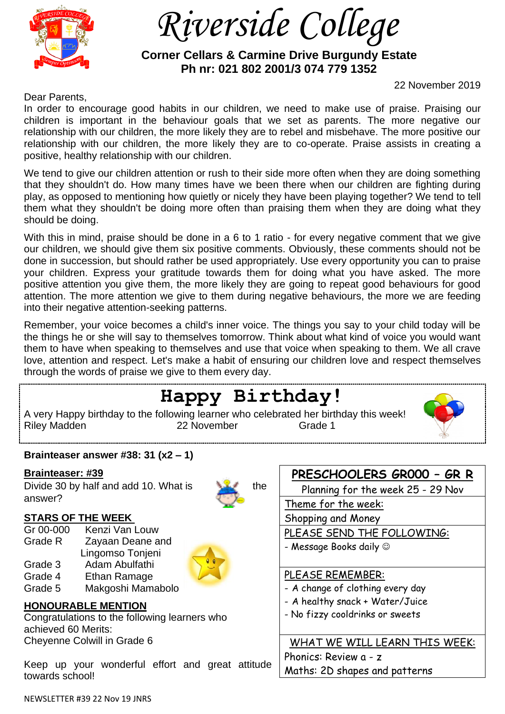

 *Riverside College*

 **Corner Cellars & Carmine Drive Burgundy Estate Ph nr: 021 802 2001/3 074 779 1352**

22 November 2019

Dear Parents,

In order to encourage good habits in our children, we need to make use of praise. Praising our children is important in the behaviour goals that we set as parents. The more negative our relationship with our children, the more likely they are to rebel and misbehave. The more positive our relationship with our children, the more likely they are to co-operate. Praise assists in creating a positive, healthy relationship with our children.

We tend to give our children attention or rush to their side more often when they are doing something that they shouldn't do. How many times have we been there when our children are fighting during play, as opposed to mentioning how quietly or nicely they have been playing together? We tend to tell them what they shouldn't be doing more often than praising them when they are doing what they should be doing.

With this in mind, praise should be done in a 6 to 1 ratio - for every negative comment that we give our children, we should give them six positive comments. Obviously, these comments should not be done in succession, but should rather be used appropriately. Use every opportunity you can to praise your children. Express your gratitude towards them for doing what you have asked. The more positive attention you give them, the more likely they are going to repeat good behaviours for good attention. The more attention we give to them during negative behaviours, the more we are feeding into their negative attention-seeking patterns.

Remember, your voice becomes a child's inner voice. The things you say to your child today will be the things he or she will say to themselves tomorrow. Think about what kind of voice you would want them to have when speaking to themselves and use that voice when speaking to them. We all crave love, attention and respect. Let's make a habit of ensuring our children love and respect themselves through the words of praise we give to them every day. ∶'<br>∽

#### NEWSLETTER #39 22 Nov 19 JNRS **Happy Birthday!** A very Happy birthday to the following learner who celebrated her birthday this week! Riley Madden 22 November Grade 1 **Brainteaser answer #38: 31 (x2 – 1) Brainteaser: #39** Divide 30 by half and add 10. What is the answer? **STARS OF THE WEEK**  Gr 00-000 Kenzi Van Louw Grade R Zayaan Deane and Lingomso Tonjeni Grade 3 Adam Abulfathi Grade 4 Ethan Ramage Grade 5 Makgoshi Mamabolo **HONOURABLE MENTION** Congratulations to the following learners who achieved 60 Merits: Cheyenne Colwill in Grade 6 Keep up your wonderful effort and great attitude towards school! **PRESCHOOLERS GR000 – GR R** Planning for the week 25 - 29 Nov Theme for the week: Shopping and Money PLEASE SEND THE FOLLOWING: - Message Books daily  $@$ PLEASE REMEMBER: - A change of clothing every day - A healthy snack + Water/Juice - No fizzy cooldrinks or sweets WHAT WE WILL LEARN THIS WEEK: Phonics: Review a - z Maths: 2D shapes and patterns